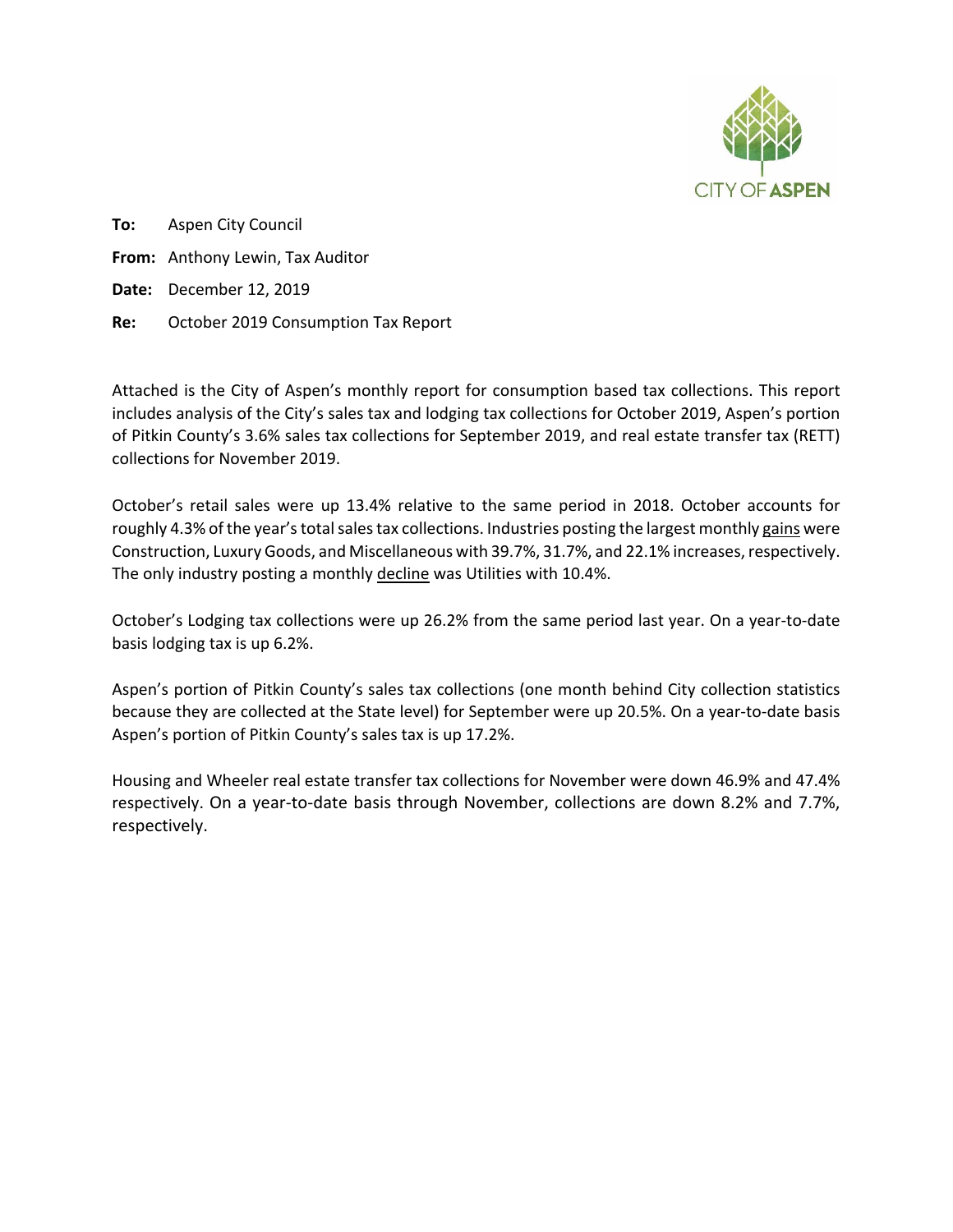

**To:**  Aspen City Council **From:**  Anthony Lewin, Tax Auditor **Date:**  December 12, 2019 **Re:**  October 2019 Consumption Tax Report

Attached is the City of Aspen's monthly report for consumption based tax collections. This report includes analysis of the City's sales tax and lodging tax collections for October 2019, Aspen's portion of Pitkin County's 3.6% sales tax collections for September 2019, and real estate transfer tax (RETT) collections for November 2019.

October's retail sales were up 13.4% relative to the same period in 2018. October accounts for roughly 4.3% of the year's total sales tax collections. Industries posting the largest monthly gains were Construction, Luxury Goods, and Miscellaneous with 39.7%, 31.7%, and 22.1% increases, respectively. The only industry posting a monthly decline was Utilities with 10.4%.

October's Lodging tax collections were up 26.2% from the same period last year. On a year‐to‐date basis lodging tax is up 6.2%.

Aspen's portion of Pitkin County's sales tax collections (one month behind City collection statistics because they are collected at the State level) for September were up 20.5%. On a year-to-date basis Aspen's portion of Pitkin County's sales tax is up 17.2%.

Housing and Wheeler real estate transfer tax collections for November were down 46.9% and 47.4% respectively. On a year-to-date basis through November, collections are down 8.2% and 7.7%, respectively.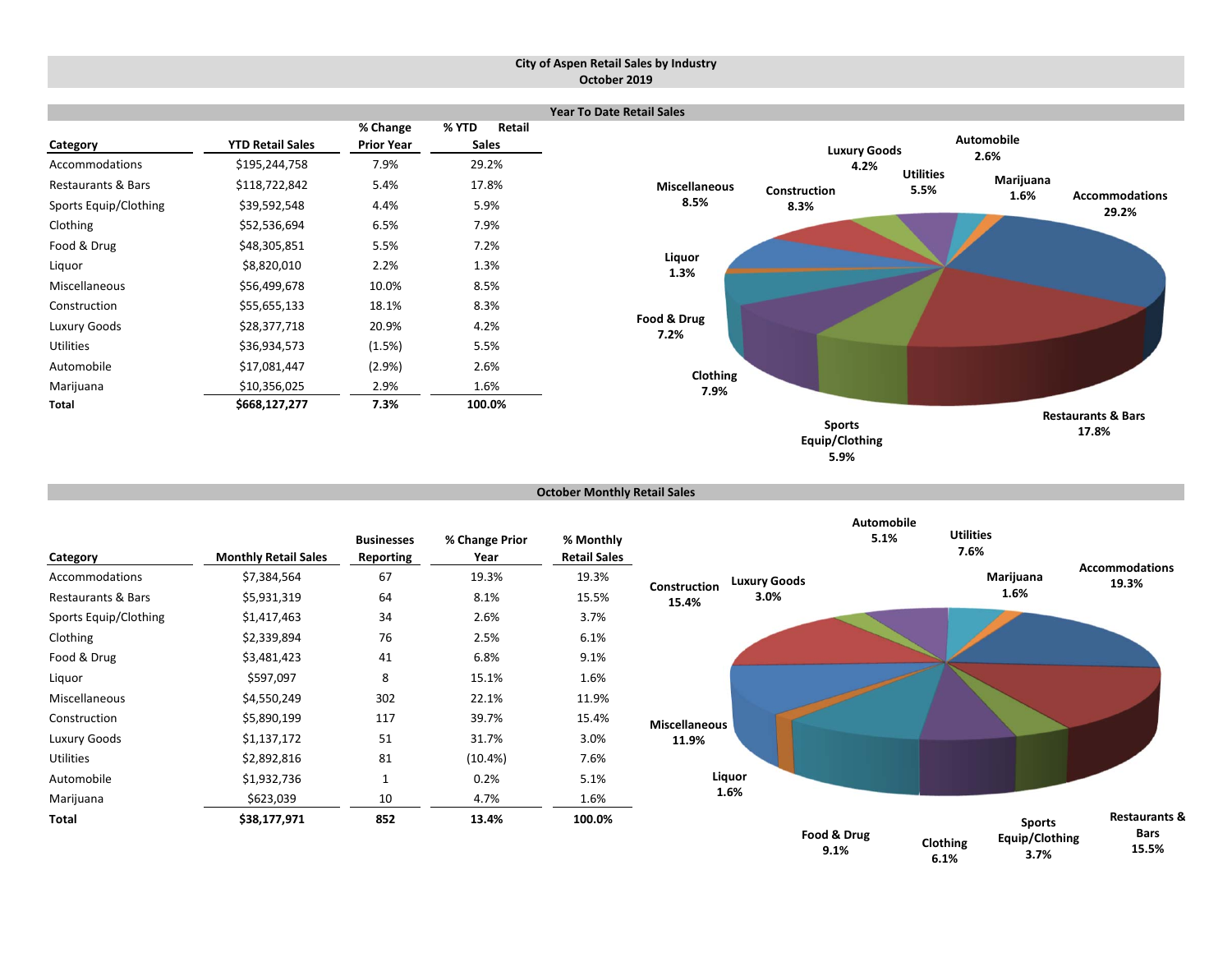#### **City of Aspen Retail Sales by Industry October 2019**



```
October Monthly Retail Sales
```

| Category                      | <b>Monthly Retail Sales</b> | <b>Businesses</b><br><b>Reporting</b> | % Change Prior<br>Year | % Monthly<br><b>Retail Sales</b> |                      |                     | <b>Automobile</b><br>5.1% | <b>Utilities</b><br>7.6% |                                         | <b>Accommodations</b>                            |
|-------------------------------|-----------------------------|---------------------------------------|------------------------|----------------------------------|----------------------|---------------------|---------------------------|--------------------------|-----------------------------------------|--------------------------------------------------|
| Accommodations                | \$7,384,564                 | 67                                    | 19.3%                  | 19.3%                            | Construction         | <b>Luxury Goods</b> |                           |                          | Marijuana                               | 19.3%                                            |
| <b>Restaurants &amp; Bars</b> | \$5,931,319                 | 64                                    | 8.1%                   | 15.5%                            | 15.4%                | 3.0%                |                           |                          | 1.6%                                    |                                                  |
| Sports Equip/Clothing         | \$1,417,463                 | 34                                    | 2.6%                   | 3.7%                             |                      |                     |                           |                          |                                         |                                                  |
| Clothing                      | \$2,339,894                 | 76                                    | 2.5%                   | 6.1%                             |                      |                     |                           |                          |                                         |                                                  |
| Food & Drug                   | \$3,481,423                 | 41                                    | 6.8%                   | 9.1%                             |                      |                     |                           |                          |                                         |                                                  |
| Liquor                        | \$597,097                   | 8                                     | 15.1%                  | 1.6%                             |                      |                     |                           |                          |                                         |                                                  |
| Miscellaneous                 | \$4,550,249                 | 302                                   | 22.1%                  | 11.9%                            |                      |                     |                           |                          |                                         |                                                  |
| Construction                  | \$5,890,199                 | 117                                   | 39.7%                  | 15.4%                            | <b>Miscellaneous</b> |                     |                           |                          |                                         |                                                  |
| Luxury Goods                  | \$1,137,172                 | 51                                    | 31.7%                  | 3.0%                             | 11.9%                |                     |                           |                          |                                         |                                                  |
| Utilities                     | \$2,892,816                 | 81                                    | $(10.4\%)$             | 7.6%                             |                      |                     |                           |                          |                                         |                                                  |
| Automobile                    | \$1,932,736                 | $\mathbf{1}$                          | 0.2%                   | 5.1%                             |                      | Liquor              |                           |                          |                                         |                                                  |
| Marijuana                     | \$623,039                   | 10                                    | 4.7%                   | 1.6%                             |                      | 1.6%                |                           |                          |                                         |                                                  |
| Total                         | \$38,177,971                | 852                                   | 13.4%                  | 100.0%                           |                      |                     | Food & Drug<br>9.1%       | Clothing<br>6.1%         | <b>Sports</b><br>Equip/Clothing<br>3.7% | <b>Restaurants &amp;</b><br><b>Bars</b><br>15.5% |

**6.1%**

**5.9%**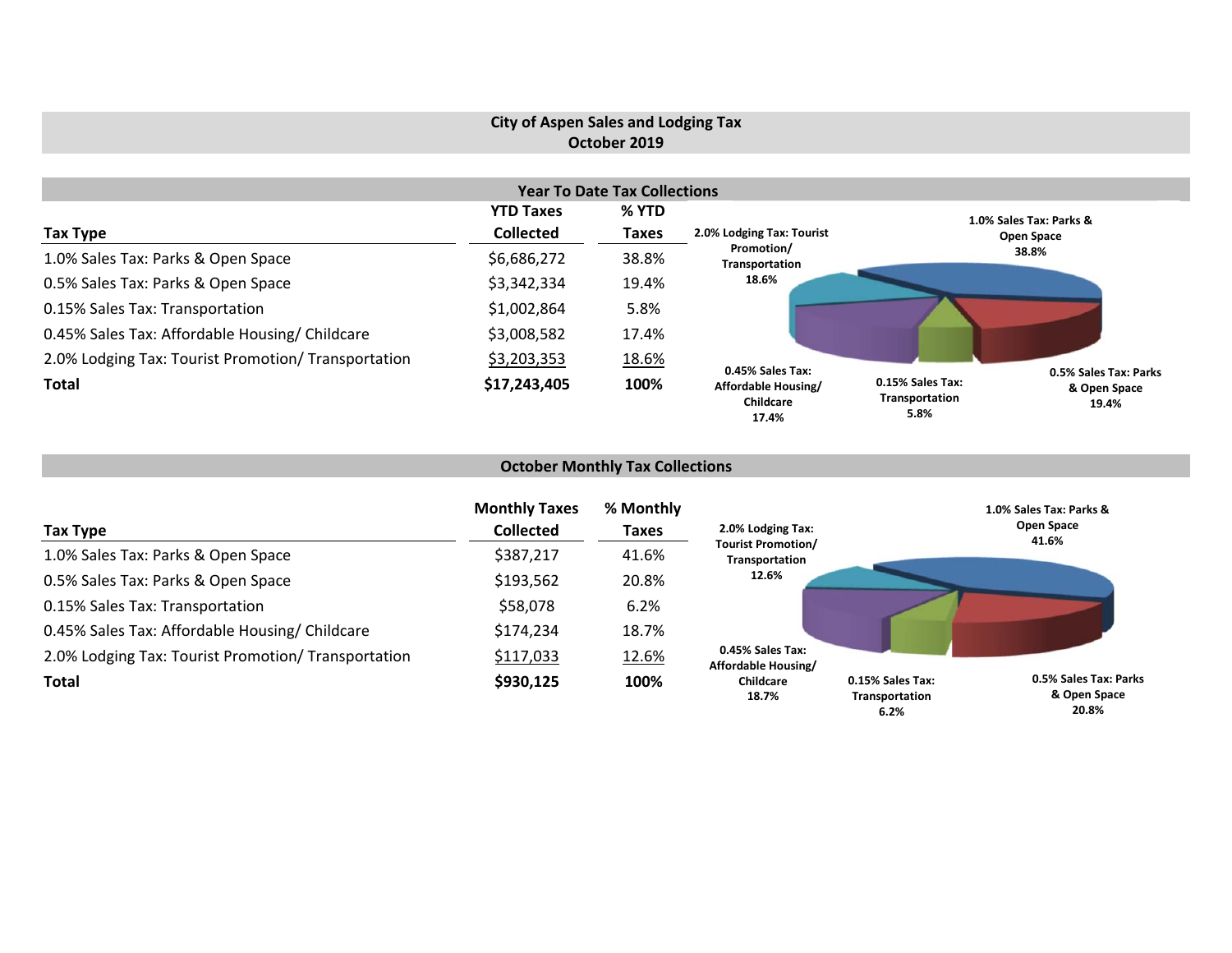## **City of Aspen Sales and Lodging Tax October 2019**

|                                                     |                  | <b>Year To Date Tax Collections</b> |                                                  |                                                                                              |  |
|-----------------------------------------------------|------------------|-------------------------------------|--------------------------------------------------|----------------------------------------------------------------------------------------------|--|
|                                                     | <b>YTD Taxes</b> | % YTD                               |                                                  | 1.0% Sales Tax: Parks &                                                                      |  |
| Tax Type                                            | <b>Collected</b> | <b>Taxes</b>                        | 2.0% Lodging Tax: Tourist                        | Open Space                                                                                   |  |
| 1.0% Sales Tax: Parks & Open Space                  | \$6,686,272      | 38.8%                               | Promotion/<br>Transportation                     | 38.8%                                                                                        |  |
| 0.5% Sales Tax: Parks & Open Space                  | \$3,342,334      | 19.4%                               | 18.6%                                            |                                                                                              |  |
| 0.15% Sales Tax: Transportation                     | \$1,002,864      | 5.8%                                |                                                  |                                                                                              |  |
| 0.45% Sales Tax: Affordable Housing/ Childcare      | \$3,008,582      | 17.4%                               |                                                  |                                                                                              |  |
| 2.0% Lodging Tax: Tourist Promotion/ Transportation | \$3,203,353      | 18.6%                               | 0.45% Sales Tax:                                 |                                                                                              |  |
| <b>Total</b>                                        | \$17,243,405     | 100%                                | Affordable Housing/<br><b>Childcare</b><br>17.4% | 0.5% Sales Tax: Parks<br>0.15% Sales Tax:<br>& Open Space<br>Transportation<br>19.4%<br>5.8% |  |

# **October Monthly Tax Collections**

| Tax Type                                            | <b>Monthly Taxes</b><br><b>Collected</b> | % Monthly<br><b>Taxes</b> | 2.0% Lodging Tax:                           |                                            | 1.0% Sales Tax: Parks &<br>Open Space<br>41.6% |
|-----------------------------------------------------|------------------------------------------|---------------------------|---------------------------------------------|--------------------------------------------|------------------------------------------------|
| 1.0% Sales Tax: Parks & Open Space                  | \$387,217                                | 41.6%                     | <b>Tourist Promotion/</b><br>Transportation |                                            |                                                |
| 0.5% Sales Tax: Parks & Open Space                  | \$193,562                                | 20.8%                     | 12.6%                                       |                                            |                                                |
| 0.15% Sales Tax: Transportation                     | \$58,078                                 | 6.2%                      |                                             |                                            |                                                |
| 0.45% Sales Tax: Affordable Housing/ Childcare      | \$174,234                                | 18.7%                     |                                             |                                            |                                                |
| 2.0% Lodging Tax: Tourist Promotion/ Transportation | \$117,033                                | 12.6%                     | 0.45% Sales Tax:<br>Affordable Housing/     |                                            |                                                |
| <b>Total</b>                                        | \$930,125                                | 100%                      | <b>Childcare</b><br>18.7%                   | 0.15% Sales Tax:<br>Transportation<br>6.2% | 0.5% Sales Tax: Parks<br>& Open Space<br>20.8% |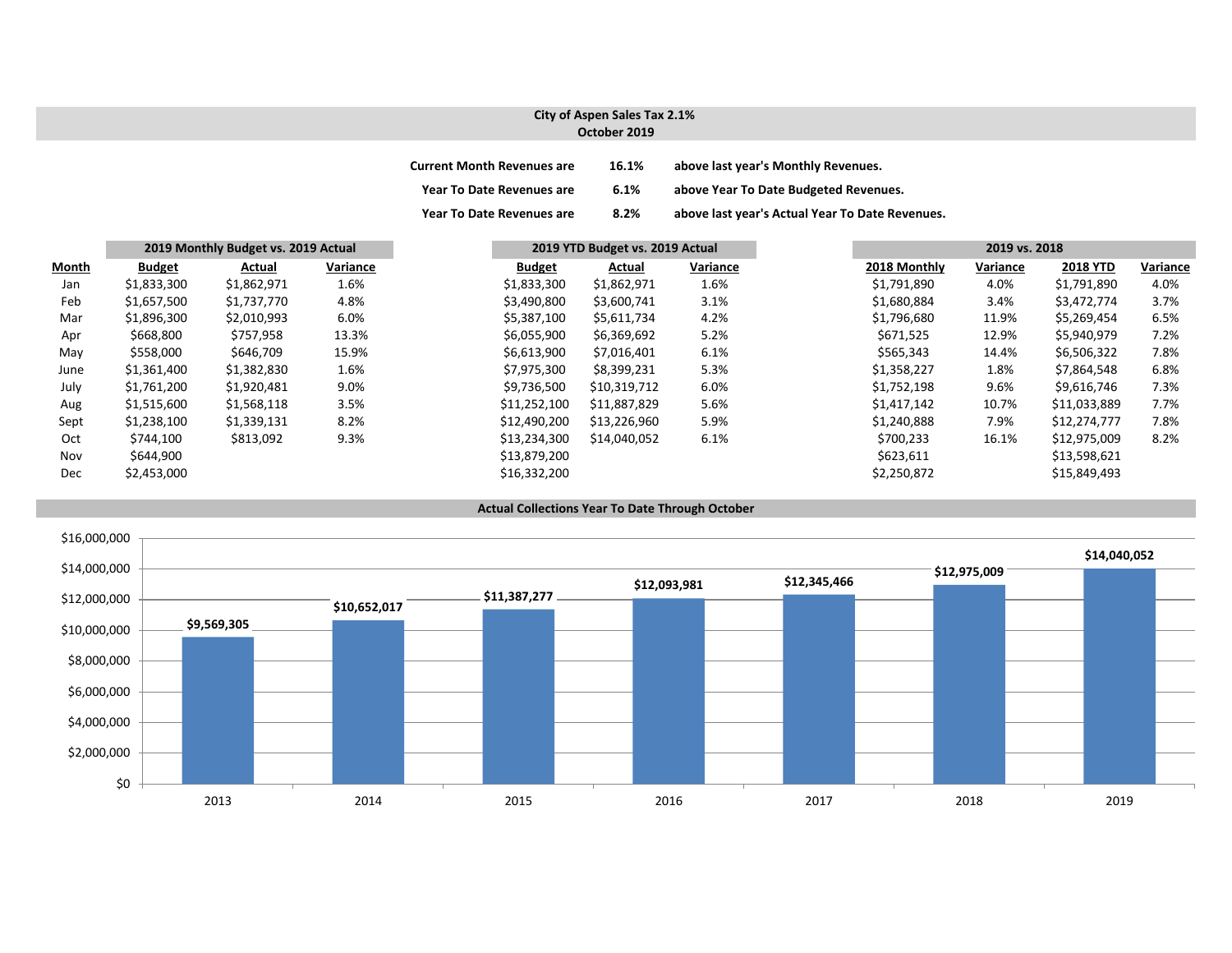#### **City of Aspen Sales Tax 2.1% October 2019**

| <b>Current Month Revenues are</b> | 16.1% | above last year's Monthly Revenues.             |
|-----------------------------------|-------|-------------------------------------------------|
| <b>Year To Date Revenues are</b>  | 6.1%  | above Year To Date Budgeted Revenues.           |
| <b>Year To Date Revenues are</b>  | 8.2%  | above last year's Actual Year To Date Revenues. |

|              |               | 2019 Monthly Budget vs. 2019 Actual |          |               | 2019 YTD Budget vs. 2019 Actual |          |  | 2019 vs. 2018 |          |                 |          |  |
|--------------|---------------|-------------------------------------|----------|---------------|---------------------------------|----------|--|---------------|----------|-----------------|----------|--|
| <b>Month</b> | <b>Budget</b> | Actual                              | Variance | <b>Budget</b> | Actual                          | Variance |  | 2018 Monthly  | Variance | <b>2018 YTD</b> | Variance |  |
| Jan          | \$1,833,300   | \$1,862,971                         | 1.6%     | \$1,833,300   | \$1,862,971                     | 1.6%     |  | \$1,791,890   | 4.0%     | \$1,791,890     | 4.0%     |  |
| Feb          | \$1,657,500   | \$1,737,770                         | 4.8%     | \$3,490,800   | \$3,600,741                     | 3.1%     |  | \$1,680,884   | 3.4%     | \$3,472,774     | 3.7%     |  |
| Mar          | \$1,896,300   | \$2,010,993                         | 6.0%     | \$5,387,100   | \$5,611,734                     | 4.2%     |  | \$1,796,680   | 11.9%    | \$5,269,454     | 6.5%     |  |
| Apr          | \$668,800     | \$757,958                           | 13.3%    | \$6,055,900   | \$6,369,692                     | 5.2%     |  | \$671,525     | 12.9%    | \$5,940,979     | 7.2%     |  |
| May          | \$558,000     | \$646,709                           | 15.9%    | \$6,613,900   | \$7,016,401                     | 6.1%     |  | \$565,343     | 14.4%    | \$6,506,322     | 7.8%     |  |
| June         | \$1,361,400   | \$1,382,830                         | 1.6%     | \$7,975,300   | \$8,399,231                     | 5.3%     |  | \$1,358,227   | 1.8%     | \$7,864,548     | 6.8%     |  |
| July         | \$1,761,200   | \$1,920,481                         | 9.0%     | \$9,736,500   | \$10,319,712                    | 6.0%     |  | \$1,752,198   | 9.6%     | \$9,616,746     | 7.3%     |  |
| Aug          | \$1,515,600   | \$1,568,118                         | 3.5%     | \$11,252,100  | \$11,887,829                    | 5.6%     |  | \$1,417,142   | 10.7%    | \$11,033,889    | 7.7%     |  |
| Sept         | \$1,238,100   | \$1,339,131                         | 8.2%     | \$12,490,200  | \$13,226,960                    | 5.9%     |  | \$1,240,888   | 7.9%     | \$12,274,777    | 7.8%     |  |
| Oct          | \$744,100     | \$813,092                           | 9.3%     | \$13,234,300  | \$14,040,052                    | 6.1%     |  | \$700,233     | 16.1%    | \$12,975,009    | 8.2%     |  |
| Nov          | \$644,900     |                                     |          | \$13,879,200  |                                 |          |  | \$623,611     |          | \$13,598,621    |          |  |
| Dec          | \$2,453,000   |                                     |          | \$16,332,200  |                                 |          |  | \$2,250,872   |          | \$15,849,493    |          |  |



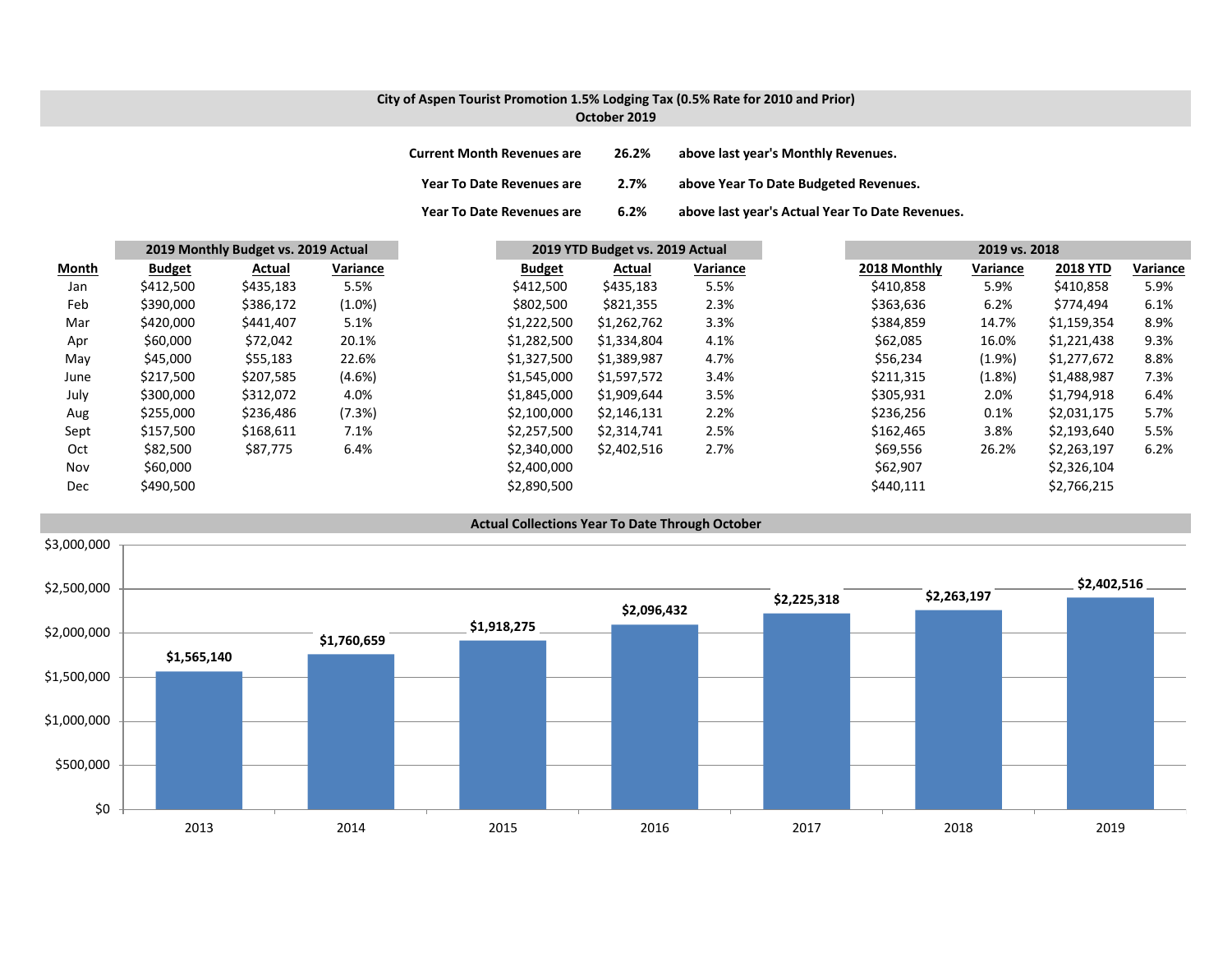## **City of Aspen Tourist Promotion 1.5% Lodging Tax (0.5% Rate for 2010 and Prior) October 2019**

| <b>Current Month Revenues are</b> | 26.2% | above last year's Monthly Revenues.             |
|-----------------------------------|-------|-------------------------------------------------|
| Year To Date Revenues are         | 2.7%  | above Year To Date Budgeted Revenues.           |
| <b>Year To Date Revenues are</b>  | 6.2%  | above last year's Actual Year To Date Revenues. |

|       |               | 2019 Monthly Budget vs. 2019 Actual |           |               | 2019 YTD Budget vs. 2019 Actual |          |              | 2019 vs. 2018 |                 |          |
|-------|---------------|-------------------------------------|-----------|---------------|---------------------------------|----------|--------------|---------------|-----------------|----------|
| Month | <b>Budget</b> | Actual                              | Variance  | <b>Budget</b> | Actual                          | Variance | 2018 Monthly | Variance      | <b>2018 YTD</b> | Variance |
| Jan   | \$412,500     | \$435,183                           | 5.5%      | \$412,500     | \$435,183                       | 5.5%     | \$410,858    | 5.9%          | \$410,858       | 5.9%     |
| Feb   | \$390,000     | \$386,172                           | $(1.0\%)$ | \$802,500     | \$821,355                       | 2.3%     | \$363,636    | 6.2%          | \$774,494       | 6.1%     |
| Mar   | \$420,000     | \$441,407                           | 5.1%      | \$1,222,500   | \$1,262,762                     | 3.3%     | \$384,859    | 14.7%         | \$1,159,354     | 8.9%     |
| Apr   | \$60,000      | \$72,042                            | 20.1%     | \$1,282,500   | \$1,334,804                     | 4.1%     | \$62,085     | 16.0%         | \$1,221,438     | 9.3%     |
| May   | \$45,000      | \$55,183                            | 22.6%     | \$1,327,500   | \$1,389,987                     | 4.7%     | \$56,234     | $(1.9\%)$     | \$1,277,672     | 8.8%     |
| June  | \$217,500     | \$207,585                           | $(4.6\%)$ | \$1,545,000   | \$1,597,572                     | 3.4%     | \$211,315    | (1.8%)        | \$1,488,987     | 7.3%     |
| July  | \$300,000     | \$312,072                           | 4.0%      | \$1,845,000   | \$1,909,644                     | 3.5%     | \$305,931    | 2.0%          | \$1,794,918     | 6.4%     |
| Aug   | \$255,000     | \$236,486                           | (7.3%)    | \$2,100,000   | \$2,146,131                     | 2.2%     | \$236,256    | 0.1%          | \$2,031,175     | 5.7%     |
| Sept  | \$157,500     | \$168,611                           | 7.1%      | \$2,257,500   | \$2,314,741                     | 2.5%     | \$162,465    | 3.8%          | \$2,193,640     | 5.5%     |
| Oct   | \$82,500      | \$87,775                            | 6.4%      | \$2,340,000   | \$2,402,516                     | 2.7%     | \$69,556     | 26.2%         | \$2,263,197     | 6.2%     |
| Nov   | \$60,000      |                                     |           | \$2,400,000   |                                 |          | \$62,907     |               | \$2,326,104     |          |
| Dec   | \$490,500     |                                     |           | \$2,890,500   |                                 |          | \$440,111    |               | \$2,766,215     |          |

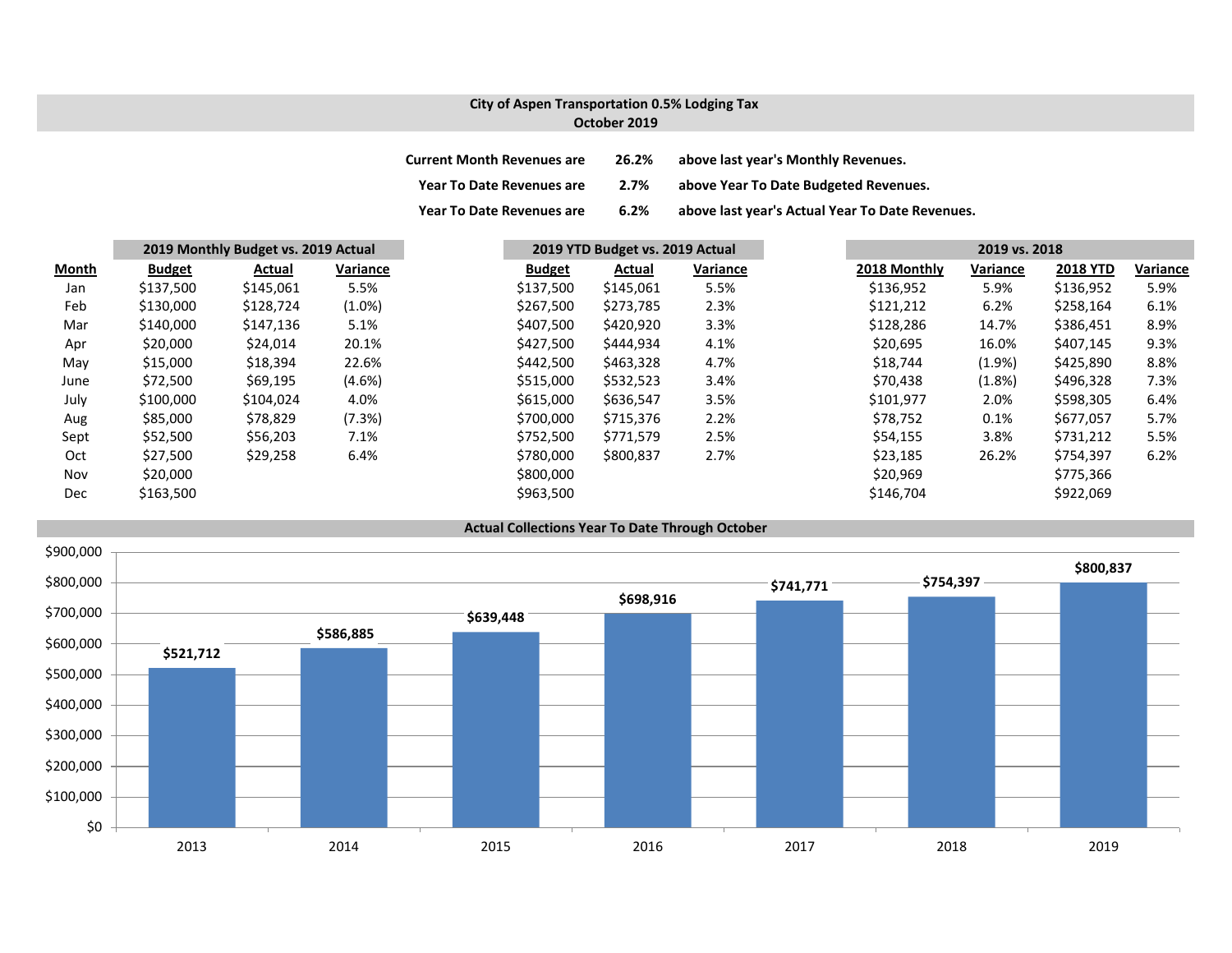## **City of Aspen Transportation 0.5% Lodging Tax October 2019**

| <b>Current Month Revenues are</b> | 26.2% | above last year's Monthly Revenues.             |
|-----------------------------------|-------|-------------------------------------------------|
| <b>Year To Date Revenues are</b>  | 2.7%  | above Year To Date Budgeted Revenues.           |
| <b>Year To Date Revenues are</b>  | 6.2%  | above last year's Actual Year To Date Revenues. |

|       | 2019 Monthly Budget vs. 2019 Actual |           |           | 2019 YTD Budget vs. 2019 Actual |           |          | 2019 vs. 2018 |              |           |                 |          |
|-------|-------------------------------------|-----------|-----------|---------------------------------|-----------|----------|---------------|--------------|-----------|-----------------|----------|
| Month | <b>Budget</b>                       | Actual    | Variance  | <b>Budget</b>                   | Actual    | Variance |               | 2018 Monthly | Variance  | <b>2018 YTD</b> | Variance |
| Jan   | \$137,500                           | \$145,061 | 5.5%      | \$137,500                       | \$145,061 | 5.5%     |               | \$136,952    | 5.9%      | \$136,952       | 5.9%     |
| Feb   | \$130,000                           | \$128,724 | $(1.0\%)$ | \$267,500                       | \$273,785 | 2.3%     |               | \$121,212    | 6.2%      | \$258,164       | 6.1%     |
| Mar   | \$140,000                           | \$147,136 | 5.1%      | \$407,500                       | \$420,920 | 3.3%     |               | \$128,286    | 14.7%     | \$386,451       | 8.9%     |
| Apr   | \$20,000                            | \$24,014  | 20.1%     | \$427,500                       | \$444,934 | 4.1%     |               | \$20,695     | 16.0%     | \$407,145       | 9.3%     |
| May   | \$15,000                            | \$18,394  | 22.6%     | \$442,500                       | \$463,328 | 4.7%     |               | \$18,744     | $(1.9\%)$ | \$425,890       | 8.8%     |
| June  | \$72,500                            | \$69,195  | (4.6%)    | \$515,000                       | \$532,523 | 3.4%     |               | \$70,438     | (1.8%)    | \$496,328       | 7.3%     |
| July  | \$100,000                           | \$104,024 | 4.0%      | \$615,000                       | \$636,547 | 3.5%     |               | \$101,977    | 2.0%      | \$598,305       | 6.4%     |
| Aug   | \$85,000                            | \$78,829  | (7.3%)    | \$700,000                       | \$715,376 | 2.2%     |               | \$78,752     | 0.1%      | \$677,057       | 5.7%     |
| Sept  | \$52,500                            | \$56,203  | 7.1%      | \$752,500                       | \$771,579 | 2.5%     |               | \$54,155     | 3.8%      | \$731,212       | 5.5%     |
| Oct   | \$27,500                            | \$29,258  | 6.4%      | \$780,000                       | \$800,837 | 2.7%     |               | \$23,185     | 26.2%     | \$754,397       | 6.2%     |
| Nov   | \$20,000                            |           |           | \$800,000                       |           |          |               | \$20,969     |           | \$775,366       |          |
| Dec   | \$163,500                           |           |           | \$963,500                       |           |          |               | \$146,704    |           | \$922,069       |          |

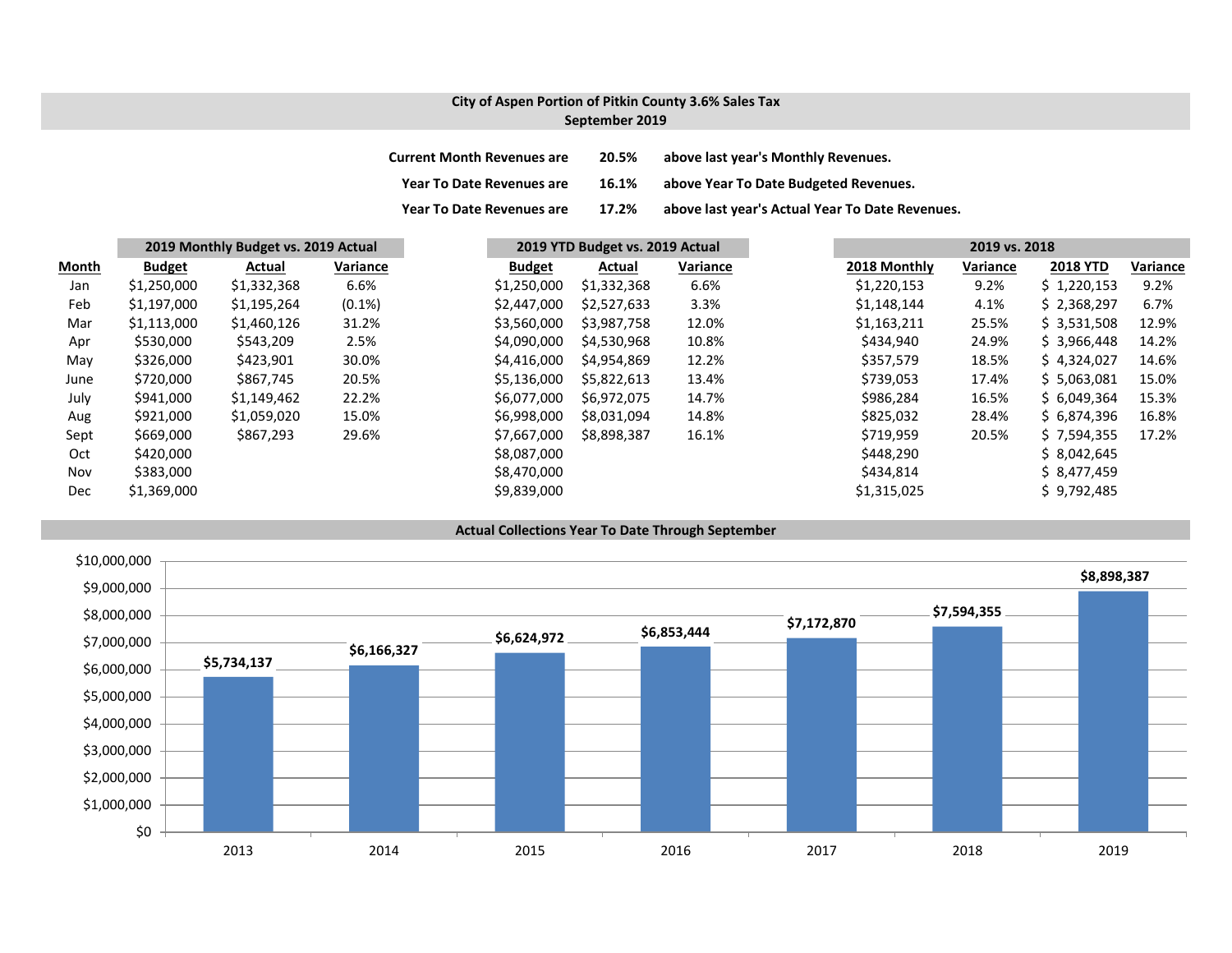### **City of Aspen Portion of Pitkin County 3.6% Sales Tax September 2019**

| <b>Current Month Revenues are</b> | 20.5% | above last year's Monthly Revenues.             |
|-----------------------------------|-------|-------------------------------------------------|
| <b>Year To Date Revenues are</b>  | 16.1% | above Year To Date Budgeted Revenues.           |
| <b>Year To Date Revenues are</b>  | 17.2% | above last year's Actual Year To Date Revenues. |

|       |               | 2019 Monthly Budget vs. 2019 Actual |           |               | 2019 YTD Budget vs. 2019 Actual |          |              | 2019 vs. 2018 |                 |          |
|-------|---------------|-------------------------------------|-----------|---------------|---------------------------------|----------|--------------|---------------|-----------------|----------|
| Month | <b>Budget</b> | Actual                              | Variance  | <b>Budget</b> | Actual                          | Variance | 2018 Monthly | Variance      | <b>2018 YTD</b> | Variance |
| Jan   | \$1,250,000   | \$1,332,368                         | 6.6%      | \$1,250,000   | \$1,332,368                     | 6.6%     | \$1,220,153  | 9.2%          | \$1,220,153     | 9.2%     |
| Feb   | \$1,197,000   | \$1,195,264                         | $(0.1\%)$ | \$2,447,000   | \$2,527,633                     | 3.3%     | \$1,148,144  | 4.1%          | \$2,368,297     | 6.7%     |
| Mar   | \$1,113,000   | \$1,460,126                         | 31.2%     | \$3,560,000   | \$3,987,758                     | 12.0%    | \$1,163,211  | 25.5%         | \$3,531,508     | 12.9%    |
| Apr   | \$530,000     | \$543,209                           | 2.5%      | \$4,090,000   | \$4,530,968                     | 10.8%    | \$434,940    | 24.9%         | \$3,966,448     | 14.2%    |
| May   | \$326,000     | \$423,901                           | 30.0%     | \$4,416,000   | \$4,954,869                     | 12.2%    | \$357,579    | 18.5%         | \$4,324,027     | 14.6%    |
| June  | \$720,000     | \$867,745                           | 20.5%     | \$5,136,000   | \$5,822,613                     | 13.4%    | \$739,053    | 17.4%         | \$5,063,081     | 15.0%    |
| July  | \$941,000     | \$1,149,462                         | 22.2%     | \$6,077,000   | \$6,972,075                     | 14.7%    | \$986,284    | 16.5%         | \$6,049,364     | 15.3%    |
| Aug   | \$921,000     | \$1,059,020                         | 15.0%     | \$6,998,000   | \$8,031,094                     | 14.8%    | \$825,032    | 28.4%         | \$6,874,396     | 16.8%    |
| Sept  | \$669,000     | \$867,293                           | 29.6%     | \$7,667,000   | \$8,898,387                     | 16.1%    | \$719,959    | 20.5%         | \$7,594,355     | 17.2%    |
| Oct   | \$420,000     |                                     |           | \$8,087,000   |                                 |          | \$448,290    |               | \$8,042,645     |          |
| Nov   | \$383,000     |                                     |           | \$8,470,000   |                                 |          | \$434,814    |               | \$8,477,459     |          |
| Dec   | \$1,369,000   |                                     |           | \$9,839,000   |                                 |          | \$1,315,025  |               | \$9,792,485     |          |

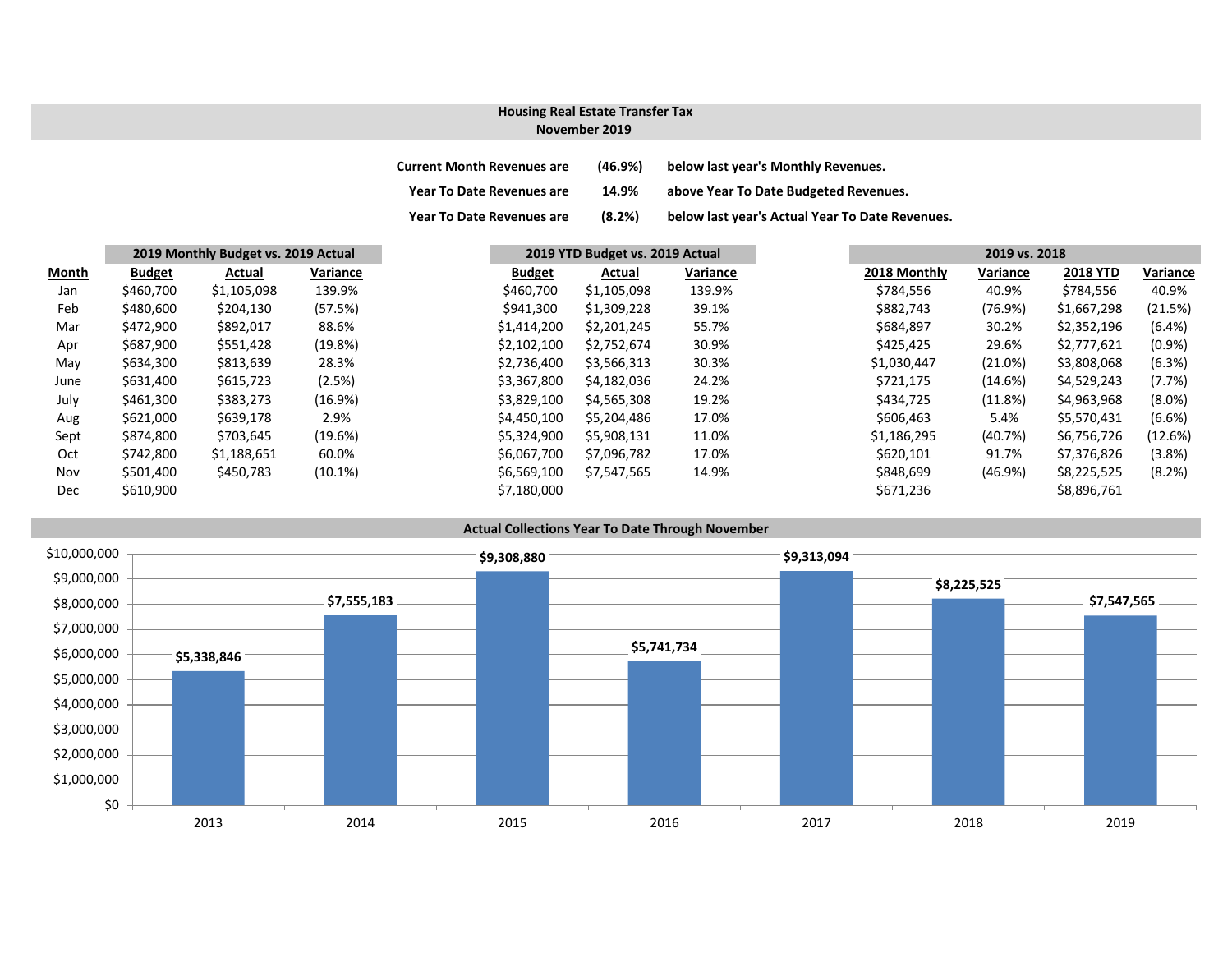#### **November 2019Housing Real Estate Transfer Tax**

| <b>Current Month Revenues are</b> | (46.9%) | below last year's Monthly Revenues.             |
|-----------------------------------|---------|-------------------------------------------------|
| <b>Year To Date Revenues are</b>  | 14.9%   | above Year To Date Budgeted Revenues.           |
| <b>Year To Date Revenues are</b>  | (8.2%)  | below last year's Actual Year To Date Revenues. |

|            |               | 2019 Monthly Budget vs. 2019 Actual |            | 2019 YTD Budget vs. 2019 Actual |             |          | 2019 vs. 2018 |            |                 |           |  |
|------------|---------------|-------------------------------------|------------|---------------------------------|-------------|----------|---------------|------------|-----------------|-----------|--|
| Month      | <b>Budget</b> | Actual                              | Variance   | <b>Budget</b>                   | Actual      | Variance | 2018 Monthly  | Variance   | <b>2018 YTD</b> | Variance  |  |
| Jan        | \$460,700     | \$1,105,098                         | 139.9%     | \$460,700                       | \$1,105,098 | 139.9%   | \$784,556     | 40.9%      | \$784,556       | 40.9%     |  |
| Feb        | \$480,600     | \$204,130                           | (57.5%)    | \$941,300                       | \$1,309,228 | 39.1%    | \$882,743     | (76.9%)    | \$1,667,298     | (21.5%)   |  |
| Mar        | \$472,900     | \$892,017                           | 88.6%      | \$1,414,200                     | \$2,201,245 | 55.7%    | \$684,897     | 30.2%      | \$2,352,196     | (6.4% )   |  |
| Apr        | \$687,900     | \$551,428                           | (19.8%)    | \$2,102,100                     | \$2,752,674 | 30.9%    | \$425,425     | 29.6%      | \$2,777,621     | $(0.9\%)$ |  |
| May        | \$634,300     | \$813,639                           | 28.3%      | \$2,736,400                     | \$3,566,313 | 30.3%    | \$1,030,447   | (21.0%)    | \$3,808,068     | (6.3%)    |  |
| June       | \$631,400     | \$615,723                           | (2.5%)     | \$3,367,800                     | \$4,182,036 | 24.2%    | \$721,175     | (14.6%)    | \$4,529,243     | (7.7%)    |  |
| July       | \$461,300     | \$383,273                           | (16.9%)    | \$3,829,100                     | \$4,565,308 | 19.2%    | \$434,725     | (11.8%)    | \$4,963,968     | $(8.0\%)$ |  |
| Aug        | \$621,000     | \$639,178                           | 2.9%       | \$4,450,100                     | \$5,204,486 | 17.0%    | \$606,463     | 5.4%       | \$5.570.431     | (6.6%)    |  |
| Sept       | \$874,800     | \$703,645                           | (19.6%)    | \$5,324,900                     | \$5,908,131 | 11.0%    | \$1,186,295   | (40.7%)    | \$6,756,726     | (12.6%)   |  |
| Oct        | \$742,800     | \$1,188,651                         | 60.0%      | \$6,067,700                     | \$7,096,782 | 17.0%    | \$620,101     | 91.7%      | \$7,376,826     | (3.8%)    |  |
| Nov        | \$501,400     | \$450,783                           | $(10.1\%)$ | \$6,569,100                     | \$7,547,565 | 14.9%    | \$848,699     | $(46.9\%)$ | \$8,225,525     | (8.2%)    |  |
| <b>Dec</b> | \$610,900     |                                     |            | \$7,180,000                     |             |          | \$671,236     |            | \$8,896,761     |           |  |